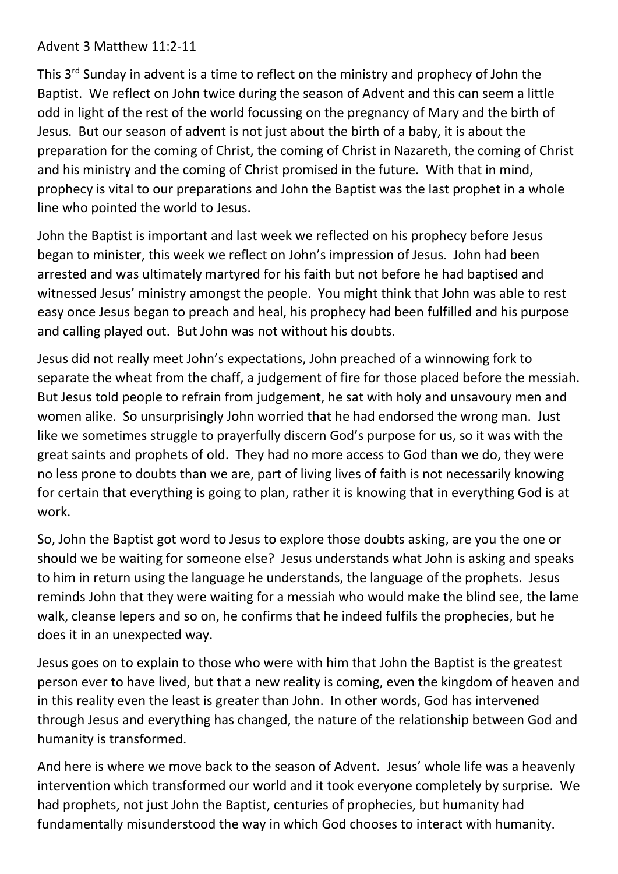## Advent 3 Matthew 11:2-11

This 3<sup>rd</sup> Sunday in advent is a time to reflect on the ministry and prophecy of John the Baptist. We reflect on John twice during the season of Advent and this can seem a little odd in light of the rest of the world focussing on the pregnancy of Mary and the birth of Jesus. But our season of advent is not just about the birth of a baby, it is about the preparation for the coming of Christ, the coming of Christ in Nazareth, the coming of Christ and his ministry and the coming of Christ promised in the future. With that in mind, prophecy is vital to our preparations and John the Baptist was the last prophet in a whole line who pointed the world to Jesus.

John the Baptist is important and last week we reflected on his prophecy before Jesus began to minister, this week we reflect on John's impression of Jesus. John had been arrested and was ultimately martyred for his faith but not before he had baptised and witnessed Jesus' ministry amongst the people. You might think that John was able to rest easy once Jesus began to preach and heal, his prophecy had been fulfilled and his purpose and calling played out. But John was not without his doubts.

Jesus did not really meet John's expectations, John preached of a winnowing fork to separate the wheat from the chaff, a judgement of fire for those placed before the messiah. But Jesus told people to refrain from judgement, he sat with holy and unsavoury men and women alike. So unsurprisingly John worried that he had endorsed the wrong man. Just like we sometimes struggle to prayerfully discern God's purpose for us, so it was with the great saints and prophets of old. They had no more access to God than we do, they were no less prone to doubts than we are, part of living lives of faith is not necessarily knowing for certain that everything is going to plan, rather it is knowing that in everything God is at work.

So, John the Baptist got word to Jesus to explore those doubts asking, are you the one or should we be waiting for someone else? Jesus understands what John is asking and speaks to him in return using the language he understands, the language of the prophets. Jesus reminds John that they were waiting for a messiah who would make the blind see, the lame walk, cleanse lepers and so on, he confirms that he indeed fulfils the prophecies, but he does it in an unexpected way.

Jesus goes on to explain to those who were with him that John the Baptist is the greatest person ever to have lived, but that a new reality is coming, even the kingdom of heaven and in this reality even the least is greater than John. In other words, God has intervened through Jesus and everything has changed, the nature of the relationship between God and humanity is transformed.

And here is where we move back to the season of Advent. Jesus' whole life was a heavenly intervention which transformed our world and it took everyone completely by surprise. We had prophets, not just John the Baptist, centuries of prophecies, but humanity had fundamentally misunderstood the way in which God chooses to interact with humanity.